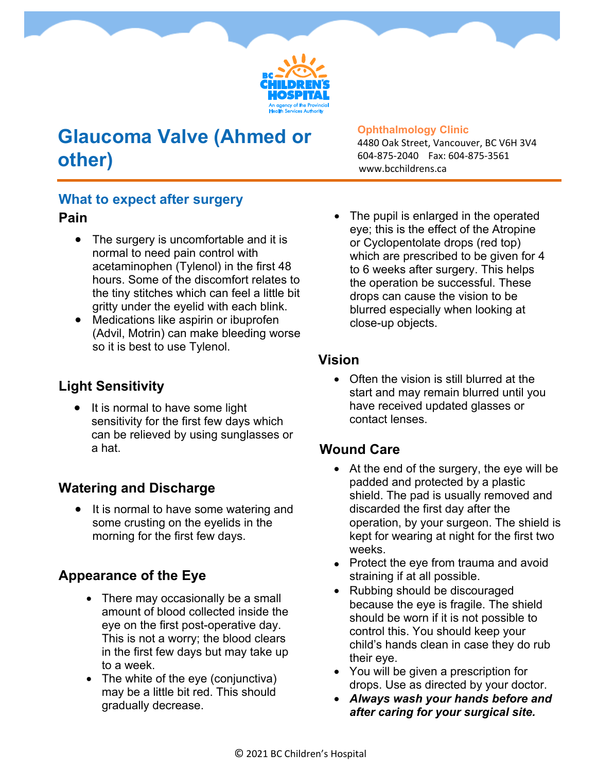

# **Glaucoma Valve (Ahmed or other)**

#### **Ophthalmology Clinic**

4480 Oak Street, Vancouver, BC V6H 3V4 604-875-2040 Fax: 604-875-3561 www.bcchildrens.ca

### **What to expect after surgery**

#### **Pain**

- The surgery is uncomfortable and it is normal to need pain control with acetaminophen (Tylenol) in the first 48 hours. Some of the discomfort relates to the tiny stitches which can feel a little bit gritty under the eyelid with each blink.
- Medications like aspirin or ibuprofen (Advil, Motrin) can make bleeding worse so it is best to use Tylenol.

#### **Light Sensitivity**

• It is normal to have some light sensitivity for the first few days which can be relieved by using sunglasses or a hat.

#### **Watering and Discharge**

 It is normal to have some watering and some crusting on the eyelids in the morning for the first few days.

#### **Appearance of the Eye**

- There may occasionally be a small amount of blood collected inside the eye on the first post-operative day. This is not a worry; the blood clears in the first few days but may take up to a week.
- The white of the eye (conjunctiva) may be a little bit red. This should gradually decrease.

The pupil is enlarged in the operated eye; this is the effect of the Atropine or Cyclopentolate drops (red top) which are prescribed to be given for 4 to 6 weeks after surgery. This helps the operation be successful. These drops can cause the vision to be blurred especially when looking at close-up objects.

#### **Vision**

• Often the vision is still blurred at the start and may remain blurred until you have received updated glasses or contact lenses.

### **Wound Care**

- At the end of the surgery, the eye will be padded and protected by a plastic shield. The pad is usually removed and discarded the first day after the operation, by your surgeon. The shield is kept for wearing at night for the first two weeks.
- Protect the eye from trauma and avoid straining if at all possible.
- Rubbing should be discouraged because the eye is fragile. The shield should be worn if it is not possible to control this. You should keep your child's hands clean in case they do rub their eye.
- You will be given a prescription for drops. Use as directed by your doctor.
- *Always wash your hands before and after caring for your surgical site.*